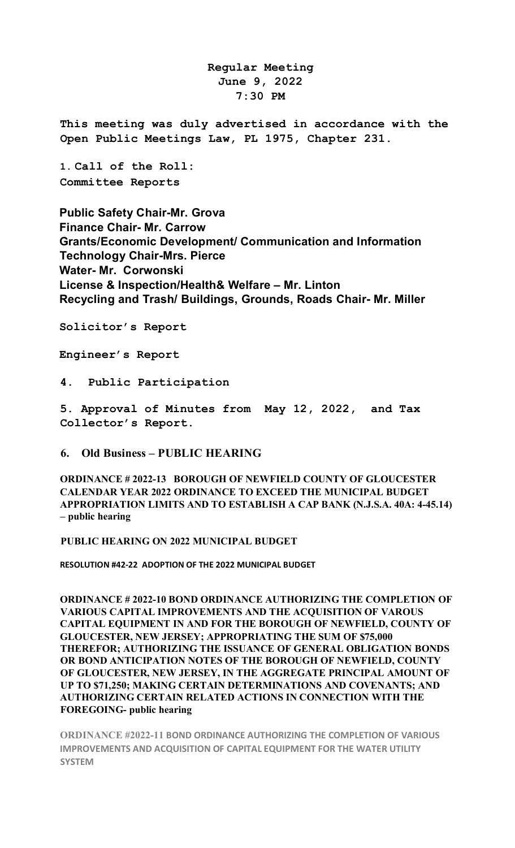**Regular Meeting June 9, 2022 7:30 PM** 

**This meeting was duly advertised in accordance with the Open Public Meetings Law, PL 1975, Chapter 231.** 

**1. Call of the Roll: Committee Reports** 

**Public Safety Chair-Mr. Grova Finance Chair- Mr. Carrow Grants/Economic Development/ Communication and Information Technology Chair-Mrs. Pierce Water- Mr. Corwonski License & Inspection/Health& Welfare – Mr. Linton Recycling and Trash/ Buildings, Grounds, Roads Chair- Mr. Miller** 

**Solicitor's Report** 

**Engineer's Report** 

**4. Public Participation**

**5. Approval of Minutes from May 12, 2022, and Tax Collector's Report.** 

#### **6. Old Business – PUBLIC HEARING**

**ORDINANCE # 2022-13 BOROUGH OF NEWFIELD COUNTY OF GLOUCESTER CALENDAR YEAR 2022 ORDINANCE TO EXCEED THE MUNICIPAL BUDGET APPROPRIATION LIMITS AND TO ESTABLISH A CAP BANK (N.J.S.A. 40A: 4-45.14) – public hearing**

**PUBLIC HEARING ON 2022 MUNICIPAL BUDGET**

**RESOLUTION #42-22 ADOPTION OF THE 2022 MUNICIPAL BUDGET**

**ORDINANCE # 2022-10 BOND ORDINANCE AUTHORIZING THE COMPLETION OF VARIOUS CAPITAL IMPROVEMENTS AND THE ACQUISITION OF VAROUS CAPITAL EQUIPMENT IN AND FOR THE BOROUGH OF NEWFIELD, COUNTY OF GLOUCESTER, NEW JERSEY; APPROPRIATING THE SUM OF \$75,000 THEREFOR; AUTHORIZING THE ISSUANCE OF GENERAL OBLIGATION BONDS OR BOND ANTICIPATION NOTES OF THE BOROUGH OF NEWFIELD, COUNTY OF GLOUCESTER, NEW JERSEY, IN THE AGGREGATE PRINCIPAL AMOUNT OF UP TO \$71,250; MAKING CERTAIN DETERMINATIONS AND COVENANTS; AND AUTHORIZING CERTAIN RELATED ACTIONS IN CONNECTION WITH THE FOREGOING- public hearing**

**ORDINANCE #2022-11 BOND ORDINANCE AUTHORIZING THE COMPLETION OF VARIOUS IMPROVEMENTS AND ACQUISITION OF CAPITAL EQUIPMENT FOR THE WATER UTILITY SYSTEM**